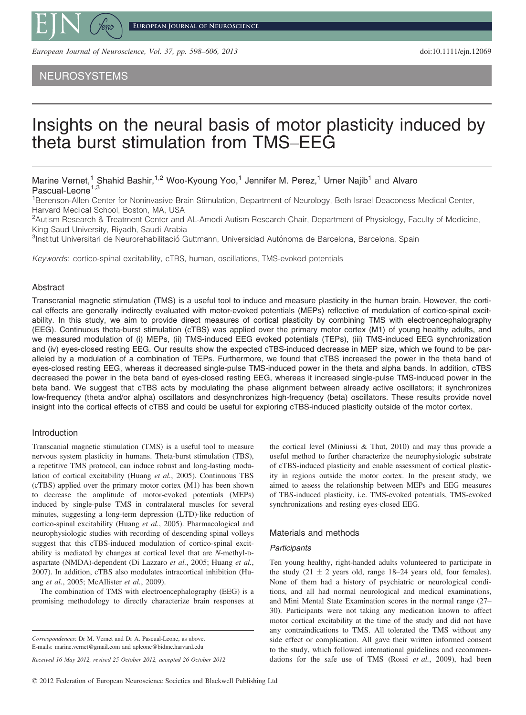

**European Journal of Neuroscience**

European Journal of Neuroscience, Vol. 37, pp. 598–606, 2013 doi:10.1111/ejn.12069

**NEUROSYSTEMS** 

# Insights on the neural basis of motor plasticity induced by theta burst stimulation from TMS–EEG

Marine Vernet,<sup>1</sup> Shahid Bashir,<sup>1,2</sup> Woo-Kyoung Yoo,<sup>1</sup> Jennifer M. Perez,<sup>1</sup> Umer Najib<sup>1</sup> and Alvaro Pascual-Leone<sup>1,3</sup>

<sup>1</sup>Berenson-Allen Center for Noninvasive Brain Stimulation, Department of Neurology, Beth Israel Deaconess Medical Center, Harvard Medical School, Boston, MA, USA

<sup>2</sup>Autism Research & Treatment Center and AL-Amodi Autism Research Chair, Department of Physiology, Faculty of Medicine, King Saud University, Riyadh, Saudi Arabia

<sup>3</sup>Institut Universitari de Neurorehabilitació Guttmann, Universidad Autónoma de Barcelona, Barcelona, Spain

Keywords: cortico-spinal excitability, cTBS, human, oscillations, TMS-evoked potentials

#### Abstract

Transcranial magnetic stimulation (TMS) is a useful tool to induce and measure plasticity in the human brain. However, the cortical effects are generally indirectly evaluated with motor-evoked potentials (MEPs) reflective of modulation of cortico-spinal excitability. In this study, we aim to provide direct measures of cortical plasticity by combining TMS with electroencephalography (EEG). Continuous theta-burst stimulation (cTBS) was applied over the primary motor cortex (M1) of young healthy adults, and we measured modulation of (i) MEPs, (ii) TMS-induced EEG evoked potentials (TEPs), (iii) TMS-induced EEG synchronization and (iv) eyes-closed resting EEG. Our results show the expected cTBS-induced decrease in MEP size, which we found to be paralleled by a modulation of a combination of TEPs. Furthermore, we found that cTBS increased the power in the theta band of eyes-closed resting EEG, whereas it decreased single-pulse TMS-induced power in the theta and alpha bands. In addition, cTBS decreased the power in the beta band of eyes-closed resting EEG, whereas it increased single-pulse TMS-induced power in the beta band. We suggest that cTBS acts by modulating the phase alignment between already active oscillators; it synchronizes low-frequency (theta and/or alpha) oscillators and desynchronizes high-frequency (beta) oscillators. These results provide novel insight into the cortical effects of cTBS and could be useful for exploring cTBS-induced plasticity outside of the motor cortex.

### Introduction

Transcanial magnetic stimulation (TMS) is a useful tool to measure nervous system plasticity in humans. Theta-burst stimulation (TBS), a repetitive TMS protocol, can induce robust and long-lasting modulation of cortical excitability (Huang et al., 2005). Continuous TBS (cTBS) applied over the primary motor cortex (M1) has been shown to decrease the amplitude of motor-evoked potentials (MEPs) induced by single-pulse TMS in contralateral muscles for several minutes, suggesting a long-term depression (LTD)-like reduction of cortico-spinal excitability (Huang et al., 2005). Pharmacological and neurophysiologic studies with recording of descending spinal volleys suggest that this cTBS-induced modulation of cortico-spinal excitability is mediated by changes at cortical level that are N-methyl-Daspartate (NMDA)-dependent (Di Lazzaro et al., 2005; Huang et al., 2007). In addition, cTBS also modulates intracortical inhibition (Huang et al., 2005; McAllister et al., 2009).

The combination of TMS with electroencephalography (EEG) is a promising methodology to directly characterize brain responses at

Received 16 May 2012, revised 25 October 2012, accepted 26 October 2012

© 2012 Federation of European Neuroscience Societies and Blackwell Publishing Ltd

the cortical level (Miniussi & Thut, 2010) and may thus provide a useful method to further characterize the neurophysiologic substrate of cTBS-induced plasticity and enable assessment of cortical plasticity in regions outside the motor cortex. In the present study, we aimed to assess the relationship between MEPs and EEG measures of TBS-induced plasticity, i.e. TMS-evoked potentials, TMS-evoked synchronizations and resting eyes-closed EEG.

## Materials and methods

#### **Participants**

Ten young healthy, right-handed adults volunteered to participate in the study  $(21 \pm 2)$  years old, range 18–24 years old, four females). None of them had a history of psychiatric or neurological conditions, and all had normal neurological and medical examinations, and Mini Mental State Examination scores in the normal range (27– 30). Participants were not taking any medication known to affect motor cortical excitability at the time of the study and did not have any contraindications to TMS. All tolerated the TMS without any side effect or complication. All gave their written informed consent to the study, which followed international guidelines and recommendations for the safe use of TMS (Rossi et al., 2009), had been

Correspondences: Dr M. Vernet and Dr A. Pascual-Leone, as above. E-mails: marine.vernet@gmail.com and apleone@bidmc.harvard.edu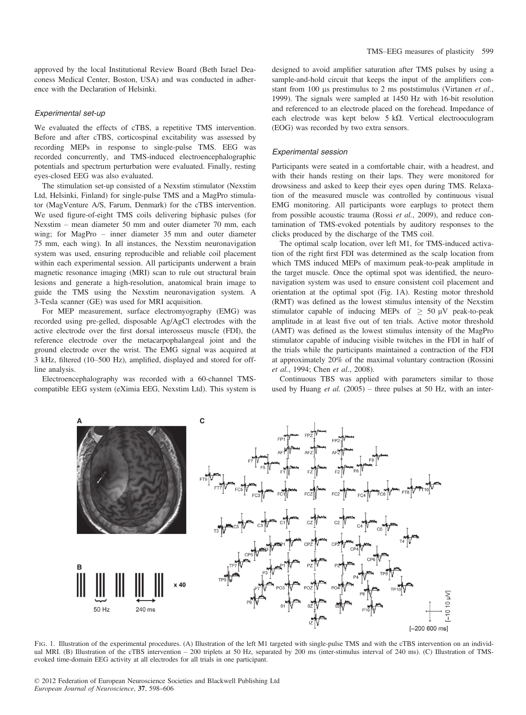approved by the local Institutional Review Board (Beth Israel Deaconess Medical Center, Boston, USA) and was conducted in adherence with the Declaration of Helsinki.

#### Experimental set-up

We evaluated the effects of cTBS, a repetitive TMS intervention. Before and after cTBS, corticospinal excitability was assessed by recording MEPs in response to single-pulse TMS. EEG was recorded concurrently, and TMS-induced electroencephalographic potentials and spectrum perturbation were evaluated. Finally, resting eyes-closed EEG was also evaluated.

The stimulation set-up consisted of a Nexstim stimulator (Nexstim Ltd, Helsinki, Finland) for single-pulse TMS and a MagPro stimulator (MagVenture A/S, Farum, Denmark) for the cTBS intervention. We used figure-of-eight TMS coils delivering biphasic pulses (for Nexstim – mean diameter 50 mm and outer diameter 70 mm, each wing; for MagPro – inner diameter 35 mm and outer diameter 75 mm, each wing). In all instances, the Nexstim neuronavigation system was used, ensuring reproducible and reliable coil placement within each experimental session. All participants underwent a brain magnetic resonance imaging (MRI) scan to rule out structural brain lesions and generate a high-resolution, anatomical brain image to guide the TMS using the Nexstim neuronavigation system. A 3-Tesla scanner (GE) was used for MRI acquisition.

For MEP measurement, surface electromyography (EMG) was recorded using pre-gelled, disposable Ag/AgCl electrodes with the active electrode over the first dorsal interosseus muscle (FDI), the reference electrode over the metacarpophalangeal joint and the ground electrode over the wrist. The EMG signal was acquired at 3 kHz, filtered (10–500 Hz), amplified, displayed and stored for offline analysis.

Electroencephalography was recorded with a 60-channel TMScompatible EEG system (eXimia EEG, Nexstim Ltd). This system is designed to avoid amplifier saturation after TMS pulses by using a sample-and-hold circuit that keeps the input of the amplifiers constant from 100 µs prestimulus to 2 ms poststimulus (Virtanen et al., 1999). The signals were sampled at 1450 Hz with 16-bit resolution and referenced to an electrode placed on the forehead. Impedance of each electrode was kept below 5 k $\Omega$ . Vertical electrooculogram (EOG) was recorded by two extra sensors.

#### Experimental session

Participants were seated in a comfortable chair, with a headrest, and with their hands resting on their laps. They were monitored for drowsiness and asked to keep their eyes open during TMS. Relaxation of the measured muscle was controlled by continuous visual EMG monitoring. All participants wore earplugs to protect them from possible acoustic trauma (Rossi et al., 2009), and reduce contamination of TMS-evoked potentials by auditory responses to the clicks produced by the discharge of the TMS coil.

The optimal scalp location, over left M1, for TMS-induced activation of the right first FDI was determined as the scalp location from which TMS induced MEPs of maximum peak-to-peak amplitude in the target muscle. Once the optimal spot was identified, the neuronavigation system was used to ensure consistent coil placement and orientation at the optimal spot (Fig. 1A). Resting motor threshold (RMT) was defined as the lowest stimulus intensity of the Nexstim stimulator capable of inducing MEPs of  $\geq$  50  $\mu$ V peak-to-peak amplitude in at least five out of ten trials. Active motor threshold (AMT) was defined as the lowest stimulus intensity of the MagPro stimulator capable of inducing visible twitches in the FDI in half of the trials while the participants maintained a contraction of the FDI at approximately 20% of the maximal voluntary contraction (Rossini et al., 1994; Chen et al., 2008).

Continuous TBS was applied with parameters similar to those used by Huang *et al.* (2005) – three pulses at 50 Hz, with an inter-



FIG. 1. Illustration of the experimental procedures. (A) Illustration of the left M1 targeted with single-pulse TMS and with the cTBS intervention on an individual MRI. (B) Illustration of the cTBS intervention – 200 triplets at 50 Hz, separated by 200 ms (inter-stimulus interval of 240 ms). (C) Illustration of TMSevoked time-domain EEG activity at all electrodes for all trials in one participant.

© 2012 Federation of European Neuroscience Societies and Blackwell Publishing Ltd European Journal of Neuroscience, 37, 598–606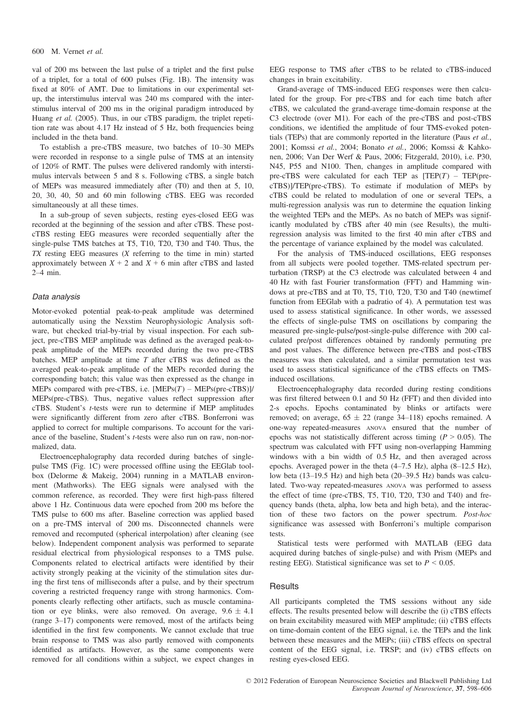#### 600 M. Vernet et al.

val of 200 ms between the last pulse of a triplet and the first pulse of a triplet, for a total of 600 pulses (Fig. 1B). The intensity was fixed at 80% of AMT. Due to limitations in our experimental setup, the interstimulus interval was 240 ms compared with the interstimulus interval of 200 ms in the original paradigm introduced by Huang et al. (2005). Thus, in our cTBS paradigm, the triplet repetition rate was about 4.17 Hz instead of 5 Hz, both frequencies being included in the theta band.

To establish a pre-cTBS measure, two batches of 10–30 MEPs were recorded in response to a single pulse of TMS at an intensity of 120% of RMT. The pulses were delivered randomly with interstimulus intervals between 5 and 8 s. Following cTBS, a single batch of MEPs was measured immediately after (T0) and then at 5, 10, 20, 30, 40, 50 and 60 min following cTBS. EEG was recorded simultaneously at all these times.

In a sub-group of seven subjects, resting eyes-closed EEG was recorded at the beginning of the session and after cTBS. These postcTBS resting EEG measures were recorded sequentially after the single-pulse TMS batches at T5, T10, T20, T30 and T40. Thus, the TX resting EEG measures (X referring to the time in min) started approximately between  $X + 2$  and  $X + 6$  min after cTBS and lasted 2–4 min.

#### Data analysis

Motor-evoked potential peak-to-peak amplitude was determined automatically using the Nexstim Neurophysiologic Analysis software, but checked trial-by-trial by visual inspection. For each subject, pre-cTBS MEP amplitude was defined as the averaged peak-topeak amplitude of the MEPs recorded during the two pre-cTBS batches. MEP amplitude at time  $T$  after cTBS was defined as the averaged peak-to-peak amplitude of the MEPs recorded during the corresponding batch; this value was then expressed as the change in MEPs compared with pre-cTBS, i.e.  $[MEPs(T) - MEPs(pre-cTBS)]$ / MEPs(pre-cTBS). Thus, negative values reflect suppression after cTBS. Student's t-tests were run to determine if MEP amplitudes were significantly different from zero after cTBS. Bonferroni was applied to correct for multiple comparisons. To account for the variance of the baseline, Student's t-tests were also run on raw, non-normalized, data.

Electroencephalography data recorded during batches of singlepulse TMS (Fig. 1C) were processed offline using the EEGlab toolbox (Delorme & Makeig, 2004) running in a MATLAB environment (Mathworks). The EEG signals were analysed with the common reference, as recorded. They were first high-pass filtered above 1 Hz. Continuous data were epoched from 200 ms before the TMS pulse to 600 ms after. Baseline correction was applied based on a pre-TMS interval of 200 ms. Disconnected channels were removed and recomputed (spherical interpolation) after cleaning (see below). Independent component analysis was performed to separate residual electrical from physiological responses to a TMS pulse. Components related to electrical artifacts were identified by their activity strongly peaking at the vicinity of the stimulation sites during the first tens of milliseconds after a pulse, and by their spectrum covering a restricted frequency range with strong harmonics. Components clearly reflecting other artifacts, such as muscle contamination or eye blinks, were also removed. On average,  $9.6 \pm 4.1$ (range 3–17) components were removed, most of the artifacts being identified in the first few components. We cannot exclude that true brain response to TMS was also partly removed with components identified as artifacts. However, as the same components were removed for all conditions within a subject, we expect changes in EEG response to TMS after cTBS to be related to cTBS-induced changes in brain excitability.

Grand-average of TMS-induced EEG responses were then calculated for the group. For pre-cTBS and for each time batch after cTBS, we calculated the grand-average time-domain response at the C3 electrode (over M1). For each of the pre-cTBS and post-cTBS conditions, we identified the amplitude of four TMS-evoked potentials (TEPs) that are commonly reported in the literature (Paus et al., 2001; Komssi et al., 2004; Bonato et al., 2006; Komssi & Kahkonen, 2006; Van Der Werf & Paus, 2006; Fitzgerald, 2010), i.e. P30, N45, P55 and N100. Then, changes in amplitude compared with pre-cTBS were calculated for each TEP as  $[TEP(T) - TEP(pre$ cTBS)]/TEP(pre-cTBS). To estimate if modulation of MEPs by cTBS could be related to modulation of one or several TEPs, a multi-regression analysis was run to determine the equation linking the weighted TEPs and the MEPs. As no batch of MEPs was significantly modulated by cTBS after 40 min (see Results), the multiregression analysis was limited to the first 40 min after cTBS and the percentage of variance explained by the model was calculated.

For the analysis of TMS-induced oscillations, EEG responses from all subjects were pooled together. TMS-related spectrum perturbation (TRSP) at the C3 electrode was calculated between 4 and 40 Hz with fast Fourier transformation (FFT) and Hamming windows at pre-cTBS and at T0, T5, T10, T20, T30 and T40 (newtimef function from EEGlab with a padratio of 4). A permutation test was used to assess statistical significance. In other words, we assessed the effects of single-pulse TMS on oscillations by comparing the measured pre-single-pulse/post-single-pulse difference with 200 calculated pre/post differences obtained by randomly permuting pre and post values. The difference between pre-cTBS and post-cTBS measures was then calculated, and a similar permutation test was used to assess statistical significance of the cTBS effects on TMSinduced oscillations.

Electroencephalography data recorded during resting conditions was first filtered between 0.1 and 50 Hz (FFT) and then divided into 2-s epochs. Epochs contaminated by blinks or artifacts were removed; on average,  $65 \pm 22$  (range 34–118) epochs remained. A one-way repeated-measures ANOVA ensured that the number of epochs was not statistically different across timing ( $P > 0.05$ ). The spectrum was calculated with FFT using non-overlapping Hamming windows with a bin width of 0.5 Hz, and then averaged across epochs. Averaged power in the theta (4–7.5 Hz), alpha (8–12.5 Hz), low beta (13–19.5 Hz) and high beta (20–39.5 Hz) bands was calculated. Two-way repeated-measures ANOVA was performed to assess the effect of time (pre-cTBS, T5, T10, T20, T30 and T40) and frequency bands (theta, alpha, low beta and high beta), and the interaction of these two factors on the power spectrum. Post-hoc significance was assessed with Bonferroni's multiple comparison tests.

Statistical tests were performed with MATLAB (EEG data acquired during batches of single-pulse) and with Prism (MEPs and resting EEG). Statistical significance was set to  $P < 0.05$ .

## **Results**

All participants completed the TMS sessions without any side effects. The results presented below will describe the (i) cTBS effects on brain excitability measured with MEP amplitude; (ii) cTBS effects on time-domain content of the EEG signal, i.e. the TEPs and the link between these measures and the MEPs; (iii) cTBS effects on spectral content of the EEG signal, i.e. TRSP; and (iv) cTBS effects on resting eyes-closed EEG.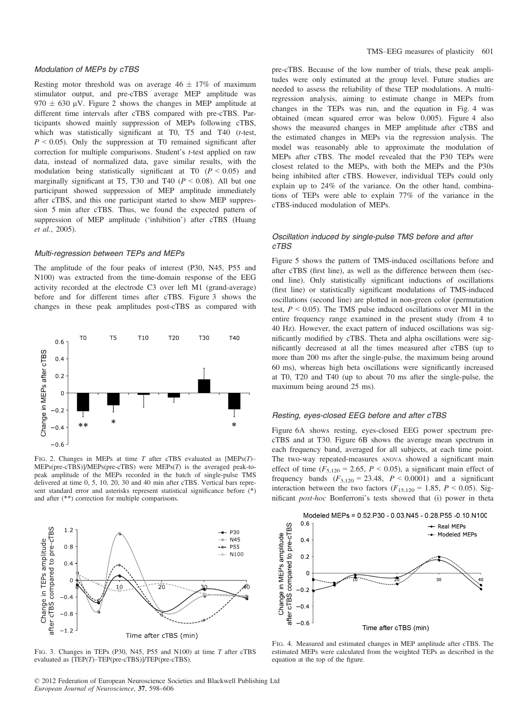#### Modulation of MEPs by cTBS

Resting motor threshold was on average  $46 \pm 17\%$  of maximum stimulator output, and pre-cTBS average MEP amplitude was 970  $\pm$  630 µV. Figure 2 shows the changes in MEP amplitude at different time intervals after cTBS compared with pre-cTBS. Participants showed mainly suppression of MEPs following cTBS, which was statistically significant at T0, T5 and T40 (t-test,  $P < 0.05$ ). Only the suppression at T0 remained significant after correction for multiple comparisons. Student's t-test applied on raw data, instead of normalized data, gave similar results, with the modulation being statistically significant at T0  $(P < 0.05)$  and marginally significant at T5, T30 and T40 ( $P < 0.08$ ). All but one participant showed suppression of MEP amplitude immediately after cTBS, and this one participant started to show MEP suppression 5 min after cTBS. Thus, we found the expected pattern of suppression of MEP amplitude ('inhibition') after cTBS (Huang et al., 2005).

#### Multi-regression between TEPs and MEPs

The amplitude of the four peaks of interest (P30, N45, P55 and N100) was extracted from the time-domain response of the EEG activity recorded at the electrode C3 over left M1 (grand-average) before and for different times after cTBS. Figure 3 shows the changes in these peak amplitudes post-cTBS as compared with



FIG. 2. Changes in MEPs at time T after cTBS evaluated as  $[MEPs(T)$ –  $MEPs(pre-cTBS)/MEPs(pre-cTBS)$  were  $MEPs(T)$  is the averaged peak-topeak amplitude of the MEPs recorded in the batch of single-pulse TMS delivered at time 0, 5, 10, 20, 30 and 40 min after cTBS. Vertical bars represent standard error and asterisks represent statistical significance before (\*) and after (\*\*) correction for multiple comparisons.



Fig. 3. Changes in TEPs (P30, N45, P55 and N100) at time <sup>T</sup> after cTBS evaluated as [TEP(T)–TEP(pre-cTBS)]/TEP(pre-cTBS).

© 2012 Federation of European Neuroscience Societies and Blackwell Publishing Ltd European Journal of Neuroscience, 37, 598–606

pre-cTBS. Because of the low number of trials, these peak amplitudes were only estimated at the group level. Future studies are needed to assess the reliability of these TEP modulations. A multiregression analysis, aiming to estimate change in MEPs from changes in the TEPs was run, and the equation in Fig. 4 was obtained (mean squared error was below 0.005). Figure 4 also shows the measured changes in MEP amplitude after cTBS and the estimated changes in MEPs via the regression analysis. The model was reasonably able to approximate the modulation of MEPs after cTBS. The model revealed that the P30 TEPs were closest related to the MEPs, with both the MEPs and the P30s being inhibited after cTBS. However, individual TEPs could only explain up to 24% of the variance. On the other hand, combinations of TEPs were able to explain 77% of the variance in the cTBS-induced modulation of MEPs.

# Oscillation induced by single-pulse TMS before and after cTBS

Figure 5 shows the pattern of TMS-induced oscillations before and after cTBS (first line), as well as the difference between them (second line). Only statistically significant inductions of oscillations (first line) or statistically significant modulations of TMS-induced oscillations (second line) are plotted in non-green color (permutation test,  $P \le 0.05$ ). The TMS pulse induced oscillations over M1 in the entire frequency range examined in the present study (from 4 to 40 Hz). However, the exact pattern of induced oscillations was significantly modified by cTBS. Theta and alpha oscillations were significantly decreased at all the times measured after cTBS (up to more than 200 ms after the single-pulse, the maximum being around 60 ms), whereas high beta oscillations were significantly increased at T0, T20 and T40 (up to about 70 ms after the single-pulse, the maximum being around 25 ms).

## Resting, eyes-closed EEG before and after cTBS

Figure 6A shows resting, eyes-closed EEG power spectrum precTBS and at T30. Figure 6B shows the average mean spectrum in each frequency band, averaged for all subjects, at each time point. The two-way repeated-measures ANOVA showed a significant main effect of time  $(F_{5,120} = 2.65, P \le 0.05)$ , a significant main effect of frequency bands  $(F_{3,120} = 23.48, P \le 0.0001)$  and a significant interaction between the two factors  $(F_{15,120} = 1.85, P \le 0.05)$ . Significant post-hoc Bonferroni's tests showed that (i) power in theta



Fig. 4. Measured and estimated changes in MEP amplitude after cTBS. The estimated MEPs were calculated from the weighted TEPs as described in the equation at the top of the figure.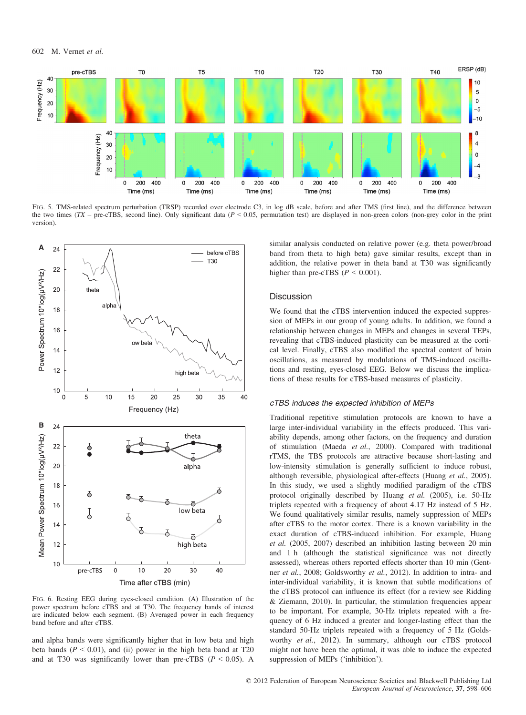

Fig. 5. TMS-related spectrum perturbation (TRSP) recorded over electrode C3, in log dB scale, before and after TMS (first line), and the difference between the two times  $(TX - \text{pre-cTBS})$ , second line). Only significant data  $(P < 0.05)$ , permutation test) are displayed in non-green colors (non-grey color in the print version).



Fig. 6. Resting EEG during eyes-closed condition. (A) Illustration of the power spectrum before cTBS and at T30. The frequency bands of interest are indicated below each segment. (B) Averaged power in each frequency band before and after cTBS.

and alpha bands were significantly higher that in low beta and high beta bands ( $P < 0.01$ ), and (ii) power in the high beta band at T20 and at T30 was significantly lower than pre-cTBS ( $P < 0.05$ ). A

similar analysis conducted on relative power (e.g. theta power/broad band from theta to high beta) gave similar results, except than in addition, the relative power in theta band at T30 was significantly higher than pre-cTBS ( $P \le 0.001$ ).

#### **Discussion**

We found that the cTBS intervention induced the expected suppression of MEPs in our group of young adults. In addition, we found a relationship between changes in MEPs and changes in several TEPs, revealing that cTBS-induced plasticity can be measured at the cortical level. Finally, cTBS also modified the spectral content of brain oscillations, as measured by modulations of TMS-induced oscillations and resting, eyes-closed EEG. Below we discuss the implications of these results for cTBS-based measures of plasticity.

## cTBS induces the expected inhibition of MEPs

Traditional repetitive stimulation protocols are known to have a large inter-individual variability in the effects produced. This variability depends, among other factors, on the frequency and duration of stimulation (Maeda et al., 2000). Compared with traditional rTMS, the TBS protocols are attractive because short-lasting and low-intensity stimulation is generally sufficient to induce robust, although reversible, physiological after-effects (Huang et al., 2005). In this study, we used a slightly modified paradigm of the cTBS protocol originally described by Huang et al. (2005), i.e. 50-Hz triplets repeated with a frequency of about 4.17 Hz instead of 5 Hz. We found qualitatively similar results, namely suppression of MEPs after cTBS to the motor cortex. There is a known variability in the exact duration of cTBS-induced inhibition. For example, Huang et al. (2005, 2007) described an inhibition lasting between 20 min and 1 h (although the statistical significance was not directly assessed), whereas others reported effects shorter than 10 min (Gentner et al., 2008; Goldsworthy et al., 2012). In addition to intra- and inter-individual variability, it is known that subtle modifications of the cTBS protocol can influence its effect (for a review see Ridding & Ziemann, 2010). In particular, the stimulation frequencies appear to be important. For example, 30-Hz triplets repeated with a frequency of 6 Hz induced a greater and longer-lasting effect than the standard 50-Hz triplets repeated with a frequency of 5 Hz (Goldsworthy et al., 2012). In summary, although our cTBS protocol might not have been the optimal, it was able to induce the expected suppression of MEPs ('inhibition').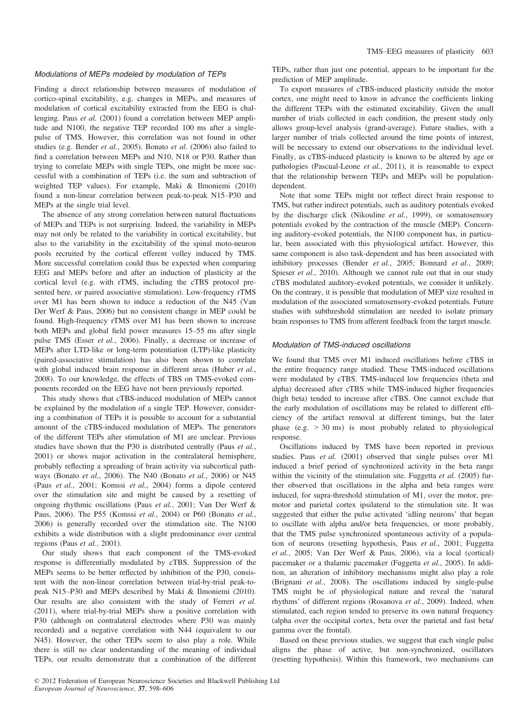## Modulations of MEPs modeled by modulation of TEPs

Finding a direct relationship between measures of modulation of cortico-spinal excitability, e.g. changes in MEPs, and measures of modulation of cortical excitability extracted from the EEG is challenging. Paus et al. (2001) found a correlation between MEP amplitude and N100, the negative TEP recorded 100 ms after a singlepulse of TMS. However, this correlation was not found in other studies (e.g. Bender et al., 2005). Bonato et al. (2006) also failed to find a correlation between MEPs and N10, N18 or P30. Rather than trying to correlate MEPs with single TEPs, one might be more successful with a combination of TEPs (i.e. the sum and subtraction of weighted TEP values). For example, Maki & Ilmoniemi (2010) found a non-linear correlation between peak-to-peak N15–P30 and MEPs at the single trial level.

The absence of any strong correlation between natural fluctuations of MEPs and TEPs is not surprising. Indeed, the variability in MEPs may not only be related to the variability in cortical excitability, but also to the variability in the excitability of the spinal moto-neuron pools recruited by the cortical efferent volley induced by TMS. More successful correlation could thus be expected when comparing EEG and MEPs before and after an induction of plasticity at the cortical level (e.g. with rTMS, including the cTBS protocol presented here, or paired associative stimulation). Low-frequency rTMS over M1 has been shown to induce a reduction of the N45 (Van Der Werf & Paus, 2006) but no consistent change in MEP could be found. High-frequency rTMS over M1 has been shown to increase both MEPs and global field power measures 15–55 ms after single pulse TMS (Esser et al., 2006). Finally, a decrease or increase of MEPs after LTD-like or long-term potentiation (LTP)-like plasticity (paired-associative stimulation) has also been shown to correlate with global induced brain response in different areas (Huber et al., 2008). To our knowledge, the effects of TBS on TMS-evoked components recorded on the EEG have not been previously reported.

This study shows that cTBS-induced modulation of MEPs cannot be explained by the modulation of a single TEP. However, considering a combination of TEPs it is possible to account for a substantial amount of the cTBS-induced modulation of MEPs. The generators of the different TEPs after stimulation of M1 are unclear. Previous studies have shown that the P30 is distributed centrally (Paus et al., 2001) or shows major activation in the contralateral hemisphere, probably reflecting a spreading of brain activity via subcortical pathways (Bonato et al., 2006). The N40 (Bonato et al., 2006) or N45 (Paus et al., 2001; Komssi et al., 2004) forms a dipole centered over the stimulation site and might be caused by a resetting of ongoing rhythmic oscillations (Paus et al., 2001; Van Der Werf & Paus, 2006). The P55 (Komssi et al., 2004) or P60 (Bonato et al., 2006) is generally recorded over the stimulation site. The N100 exhibits a wide distribution with a slight predominance over central regions (Paus et al., 2001).

Our study shows that each component of the TMS-evoked response is differentially modulated by cTBS. Suppression of the MEPs seems to be better reflected by inhibition of the P30, consistent with the non-linear correlation between trial-by-trial peak-topeak N15–P30 and MEPs described by Maki & Ilmoniemi (2010). Our results are also consistent with the study of Ferreri et al. (2011), where trial-by-trial MEPs show a positive correlation with P30 (although on contralateral electrodes where P30 was mainly recorded) and a negative correlation with N44 (equivalent to our N45). However, the other TEPs seem to also play a role. While there is still no clear understanding of the meaning of individual TEPs, our results demonstrate that a combination of the different TEPs, rather than just one potential, appears to be important for the prediction of MEP amplitude.

To export measures of cTBS-induced plasticity outside the motor cortex, one might need to know in advance the coefficients linking the different TEPs with the estimated excitability. Given the small number of trials collected in each condition, the present study only allows group-level analysis (grand-average). Future studies, with a larger number of trials collected around the time points of interest, will be necessary to extend our observations to the individual level. Finally, as cTBS-induced plasticity is known to be altered by age or pathologies (Pascual-Leone et al., 2011), it is reasonable to expect that the relationship between TEPs and MEPs will be populationdependent.

Note that some TEPs might not reflect direct brain response to TMS, but rather indirect potentials, such as auditory potentials evoked by the discharge click (Nikouline et al., 1999), or somatosensory potentials evoked by the contraction of the muscle (MEP). Concerning auditory-evoked potentials, the N100 component has, in particular, been associated with this physiological artifact. However, this same component is also task-dependent and has been associated with inhibitory processes (Bender et al., 2005; Bonnard et al., 2009; Spieser et al., 2010). Although we cannot rule out that in our study cTBS modulated auditory-evoked potentials, we consider it unlikely. On the contrary, it is possible that modulation of MEP size resulted in modulation of the associated somatosensory-evoked potentials. Future studies with subthreshold stimulation are needed to isolate primary brain responses to TMS from afferent feedback from the target muscle.

#### Modulation of TMS-induced oscillations

We found that TMS over M1 induced oscillations before cTBS in the entire frequency range studied. These TMS-induced oscillations were modulated by cTBS. TMS-induced low frequencies (theta and alpha) decreased after cTBS while TMS-induced higher frequencies (high beta) tended to increase after cTBS. One cannot exclude that the early modulation of oscillations may be related to different efficiency of the artifact removal at different timings, but the later phase (e.g. > 30 ms) is most probably related to physiological response.

Oscillations induced by TMS have been reported in previous studies. Paus et al. (2001) observed that single pulses over M1 induced a brief period of synchronized activity in the beta range within the vicinity of the stimulation site. Fuggetta et al. (2005) further observed that oscillations in the alpha and beta ranges were induced, for supra-threshold stimulation of M1, over the motor, premotor and parietal cortex ipsilateral to the stimulation site. It was suggested that either the pulse activated 'idling neurons' that began to oscillate with alpha and/or beta frequencies, or more probably, that the TMS pulse synchronized spontaneous activity of a population of neurons (resetting hypothesis, Paus et al., 2001; Fuggetta et al., 2005; Van Der Werf & Paus, 2006), via a local (cortical) pacemaker or a thalamic pacemaker (Fuggetta et al., 2005). In addition, an alteration of inhibitory mechanisms might also play a role (Brignani et al., 2008). The oscillations induced by single-pulse TMS might be of physiological nature and reveal the 'natural rhythms' of different regions (Rosanova et al., 2009). Indeed, when stimulated, each region tended to preserve its own natural frequency (alpha over the occipital cortex, beta over the parietal and fast beta/ gamma over the frontal).

Based on these previous studies, we suggest that each single pulse aligns the phase of active, but non-synchronized, oscillators (resetting hypothesis). Within this framework, two mechanisms can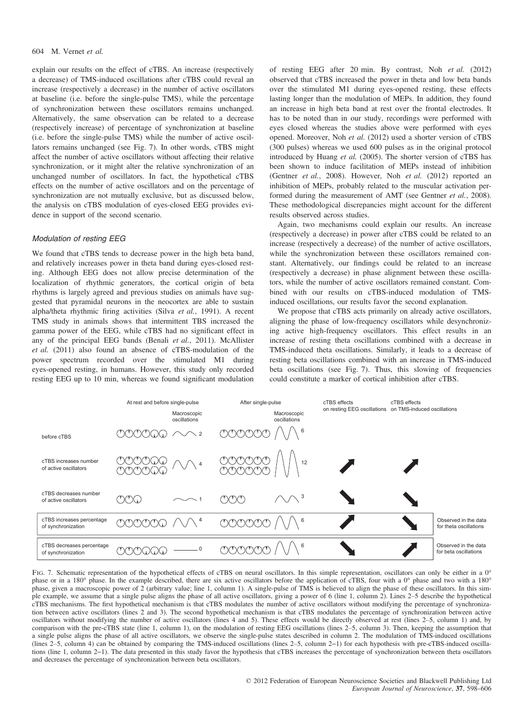## 604 M. Vernet et al.

explain our results on the effect of cTBS. An increase (respectively a decrease) of TMS-induced oscillations after cTBS could reveal an increase (respectively a decrease) in the number of active oscillators at baseline (i.e. before the single-pulse TMS), while the percentage of synchronization between these oscillators remains unchanged. Alternatively, the same observation can be related to a decrease (respectively increase) of percentage of synchronization at baseline (i.e. before the single-pulse TMS) while the number of active oscillators remains unchanged (see Fig. 7). In other words, cTBS might affect the number of active oscillators without affecting their relative synchronization, or it might alter the relative synchronization of an unchanged number of oscillators. In fact, the hypothetical cTBS effects on the number of active oscillators and on the percentage of synchronization are not mutually exclusive, but as discussed below, the analysis on cTBS modulation of eyes-closed EEG provides evidence in support of the second scenario.

## Modulation of resting EEG

We found that cTBS tends to decrease power in the high beta band, and relatively increases power in theta band during eyes-closed resting. Although EEG does not allow precise determination of the localization of rhythmic generators, the cortical origin of beta rhythms is largely agreed and previous studies on animals have suggested that pyramidal neurons in the neocortex are able to sustain alpha/theta rhythmic firing activities (Silva et al., 1991). A recent TMS study in animals shows that intermittent TBS increased the gamma power of the EEG, while cTBS had no significant effect in any of the principal EEG bands (Benali et al., 2011). McAllister et al. (2011) also found an absence of cTBS-modulation of the power spectrum recorded over the stimulated M1 during eyes-opened resting, in humans. However, this study only recorded resting EEG up to 10 min, whereas we found significant modulation

of resting EEG after 20 min. By contrast, Noh et al. (2012) observed that cTBS increased the power in theta and low beta bands over the stimulated M1 during eyes-opened resting, these effects lasting longer than the modulation of MEPs. In addition, they found an increase in high beta band at rest over the frontal electrodes. It has to be noted than in our study, recordings were performed with eyes closed whereas the studies above were performed with eyes opened. Moreover, Noh et al. (2012) used a shorter version of cTBS (300 pulses) whereas we used 600 pulses as in the original protocol introduced by Huang et al. (2005). The shorter version of cTBS has been shown to induce facilitation of MEPs instead of inhibition (Gentner et al., 2008). However, Noh et al. (2012) reported an inhibition of MEPs, probably related to the muscular activation performed during the measurement of AMT (see Gentner et al., 2008). These methodological discrepancies might account for the different results observed across studies.

Again, two mechanisms could explain our results. An increase (respectively a decrease) in power after cTBS could be related to an increase (respectively a decrease) of the number of active oscillators, while the synchronization between these oscillators remained constant. Alternatively, our findings could be related to an increase (respectively a decrease) in phase alignment between these oscillators, while the number of active oscillators remained constant. Combined with our results on cTBS-induced modulation of TMSinduced oscillations, our results favor the second explanation.

We propose that cTBS acts primarily on already active oscillators, aligning the phase of low-frequency oscillators while desynchronizing active high-frequency oscillators. This effect results in an increase of resting theta oscillations combined with a decrease in TMS-induced theta oscillations. Similarly, it leads to a decrease of resting beta oscillations combined with an increase in TMS-induced beta oscillations (see Fig. 7). Thus, this slowing of frequencies could constitute a marker of cortical inhibition after cTBS.

|                                                 | At rest and before single-pulse |                             | After single-pulse                                                                                                                                                                                                                                                   |                             | cTBS effects | cTBS effects                                            |                                                |
|-------------------------------------------------|---------------------------------|-----------------------------|----------------------------------------------------------------------------------------------------------------------------------------------------------------------------------------------------------------------------------------------------------------------|-----------------------------|--------------|---------------------------------------------------------|------------------------------------------------|
|                                                 |                                 | Macroscopic<br>oscillations |                                                                                                                                                                                                                                                                      | Macroscopic<br>oscillations |              | on resting EEG oscillations on TMS-induced oscillations |                                                |
| before cTBS                                     | ↑↑↑↑↑                           | $\sim$ 2                    | $\begin{pmatrix} 1 \\ 0 \end{pmatrix} \begin{pmatrix} 1 \\ 0 \end{pmatrix} \begin{pmatrix} 1 \\ 0 \end{pmatrix} \begin{pmatrix} 1 \\ 0 \end{pmatrix} \begin{pmatrix} 1 \\ 0 \end{pmatrix} \begin{pmatrix} 1 \\ 0 \end{pmatrix} \begin{pmatrix} 1 \\ 0 \end{pmatrix}$ | 6                           |              |                                                         |                                                |
| cTBS increases number<br>of active oscillators  |                                 |                             | ጣጣጣጣጣ                                                                                                                                                                                                                                                                | 12                          |              |                                                         |                                                |
| cTBS decreases number<br>of active oscillators  | OOG                             |                             | ∩∩∩                                                                                                                                                                                                                                                                  | $\sim$ $\sim$ $3$           |              |                                                         |                                                |
| cTBS increases percentage<br>of synchronization | $\bigcap \biguparrow \Upsilon$  |                             | $\begin{pmatrix} 1 & 0 \\ 0 & 0 \end{pmatrix} \begin{pmatrix} 1 & 0 \\ 0 & 0 \end{pmatrix} \begin{pmatrix} 1 & 0 \\ 0 & 0 \end{pmatrix}$                                                                                                                             | 6 <sup>1</sup>              |              |                                                         | Observed in the data<br>for theta oscillations |
| cTBS decreases percentage<br>of synchronization |                                 |                             | ጣጣጣጥ                                                                                                                                                                                                                                                                 | 6                           |              |                                                         | Observed in the data<br>for beta oscillations  |

FIG. 7. Schematic representation of the hypothetical effects of cTBS on neural oscillators. In this simple representation, oscillators can only be either in a 0° phase or in a 180° phase. In the example described, there are six active oscillators before the application of cTBS, four with a 0° phase and two with a 180° phase, given a macroscopic power of 2 (arbitrary value; line 1, column 1). A single-pulse of TMS is believed to align the phase of these oscillators. In this simple example, we assume that a single pulse aligns the phase of all active oscillators, giving a power of 6 (line 1, column 2). Lines 2–5 describe the hypothetical cTBS mechanisms. The first hypothetical mechanism is that cTBS modulates the number of active oscillators without modifying the percentage of synchronization between active oscillators (lines 2 and 3). The second hypothetical mechanism is that cTBS modulates the percentage of synchronization between active oscillators without modifying the number of active oscillators (lines 4 and 5). These effects would be directly observed at rest (lines 2–5, column 1) and, by comparison with the pre-cTBS state (line 1, column 1), on the modulation of resting EEG oscillations (lines 2–5, column 3). Then, keeping the assumption that a single pulse aligns the phase of all active oscillators, we observe the single-pulse states described in column 2. The modulation of TMS-induced oscillations (lines 2–5, column 4) can be obtained by comparing the TMS-induced oscillations (lines 2–5, column 2−1) for each hypothesis with pre-cTBS-induced oscillations (line 1, column 2−1). The data presented in this study favor the hypothesis that cTBS increases the percentage of synchronization between theta oscillators and decreases the percentage of synchronization between beta oscillators.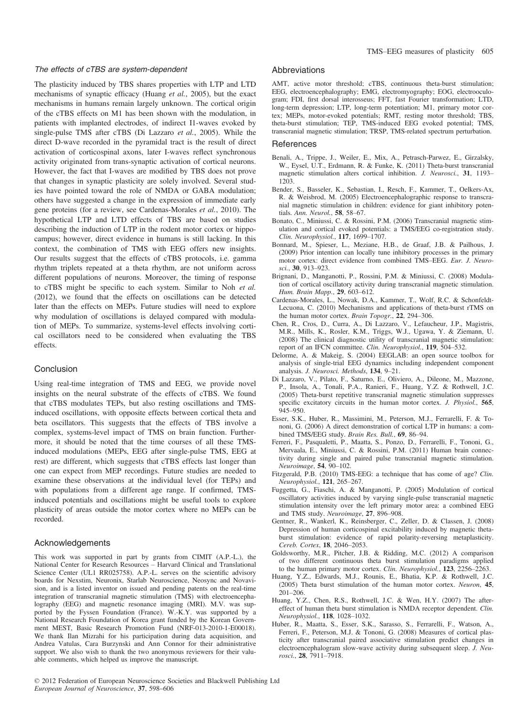#### The effects of cTBS are system-dependent

The plasticity induced by TBS shares properties with LTP and LTD mechanisms of synaptic efficacy (Huang et al., 2005), but the exact mechanisms in humans remain largely unknown. The cortical origin of the cTBS effects on M1 has been shown with the modulation, in patients with implanted electrodes, of indirect I1-waves evoked by single-pulse TMS after cTBS (Di Lazzaro et al., 2005). While the direct D-wave recorded in the pyramidal tract is the result of direct activation of corticospinal axons, later I-waves reflect synchronous activity originated from trans-synaptic activation of cortical neurons. However, the fact that I-waves are modified by TBS does not prove that changes in synaptic plasticity are solely involved. Several studies have pointed toward the role of NMDA or GABA modulation; others have suggested a change in the expression of immediate early gene proteins (for a review, see Cardenas-Morales et al., 2010). The hypothetical LTP and LTD effects of TBS are based on studies describing the induction of LTP in the rodent motor cortex or hippocampus; however, direct evidence in humans is still lacking. In this context, the combination of TMS with EEG offers new insights. Our results suggest that the effects of cTBS protocols, i.e. gamma rhythm triplets repeated at a theta rhythm, are not uniform across different populations of neurons. Moreover, the timing of response to cTBS might be specific to each system. Similar to Noh et al. (2012), we found that the effects on oscillations can be detected later than the effects on MEPs. Future studies will need to explore why modulation of oscillations is delayed compared with modulation of MEPs. To summarize, systems-level effects involving cortical oscillators need to be considered when evaluating the TBS effects.

#### Conclusion

Using real-time integration of TMS and EEG, we provide novel insights on the neural substrate of the effects of cTBS. We found that cTBS modulates TEPs, but also resting oscillations and TMSinduced oscillations, with opposite effects between cortical theta and beta oscillators. This suggests that the effects of TBS involve a complex, systems-level impact of TMS on brain function. Furthermore, it should be noted that the time courses of all these TMSinduced modulations (MEPs, EEG after single-pulse TMS, EEG at rest) are different, which suggests that cTBS effects last longer than one can expect from MEP recordings. Future studies are needed to examine these observations at the individual level (for TEPs) and with populations from a different age range. If confirmed, TMSinduced potentials and oscillations might be useful tools to explore plasticity of areas outside the motor cortex where no MEPs can be recorded.

#### Acknowledgements

This work was supported in part by grants from CIMIT (A.P.-L.), the National Center for Research Resources – Harvard Clinical and Translational Science Center (UL1 RR025758). A.P.-L. serves on the scientific advisory boards for Nexstim, Neuronix, Starlab Neuroscience, Neosync and Novavision, and is a listed inventor on issued and pending patents on the real-time integration of transcranial magnetic stimulation (TMS) with electroencephalography (EEG) and magnetic resonance imaging (MRI). M.V. was supported by the Fyssen Foundation (France). W.-K.Y. was supported by a National Research Foundation of Korea grant funded by the Korean Government MEST, Basic Research Promotion Fund (NRF-013-2010-1-E00018). We thank Ilan Mizrahi for his participation during data acquisition, and Andrea Vatulas, Cara Burzynski and Ann Connor for their administrative support. We also wish to thank the two anonymous reviewers for their valuable comments, which helped us improve the manuscript.

# Abbreviations

AMT, active motor threshold; cTBS, continuous theta-burst stimulation; EEG, electroencephalography; EMG, electromyography; EOG, electrooculogram; FDI, first dorsal interosseus; FFT, fast Fourier transformation; LTD, long-term depression; LTP, long-term potentiation; M1, primary motor cortex; MEPs, motor-evoked potentials; RMT, resting motor threshold; TBS, theta-burst stimulation; TEP, TMS-induced EEG evoked potential; TMS, transcranial magnetic stimulation; TRSP, TMS-related spectrum perturbation.

#### **References**

- Benali, A., Trippe, J., Weiler, E., Mix, A., Petrasch-Parwez, E., Girzalsky, W., Eysel, U.T., Erdmann, R. & Funke, K. (2011) Theta-burst transcranial magnetic stimulation alters cortical inhibition. J. Neurosci., 31, 1193– 1203.
- Bender, S., Basseler, K., Sebastian, I., Resch, F., Kammer, T., Oelkers-Ax, R. & Weisbrod, M. (2005) Electroencephalographic response to transcranial magnetic stimulation in children: evidence for giant inhibitory potentials. Ann. Neurol., 58, 58–67.
- Bonato, C., Miniussi, C. & Rossini, P.M. (2006) Transcranial magnetic stimulation and cortical evoked potentials: a TMS/EEG co-registration study. Clin. Neurophysiol., 117, 1699-1707.
- Bonnard, M., Spieser, L., Meziane, H.B., de Graaf, J.B. & Pailhous, J. (2009) Prior intention can locally tune inhibitory processes in the primary motor cortex: direct evidence from combined TMS–EEG. Eur. J. Neurosci., 30, 913–923.
- Brignani, D., Manganotti, P., Rossini, P.M. & Miniussi, C. (2008) Modulation of cortical oscillatory activity during transcranial magnetic stimulation. Hum. Brain Mapp., 29, 603–612.
- Cardenas-Morales, L., Nowak, D.A., Kammer, T., Wolf, R.C. & Schonfeldt-Lecuona, C. (2010) Mechanisms and applications of theta-burst rTMS on the human motor cortex. Brain Topogr., 22, 294-306.
- Chen, R., Cros, D., Curra, A., Di Lazzaro, V., Lefaucheur, J.P., Magistris, M.R., Mills, K., Rosler, K.M., Triggs, W.J., Ugawa, Y. & Ziemann, U. (2008) The clinical diagnostic utility of transcranial magnetic stimulation: report of an IFCN committee. Clin. Neurophysiol., 119, 504–532.
- Delorme, A. & Makeig, S. (2004) EEGLAB: an open source toolbox for analysis of single-trial EEG dynamics including independent component analysis. J. Neurosci. Methods, 134, 9–21.
- Di Lazzaro, V., Pilato, F., Saturno, E., Oliviero, A., Dileone, M., Mazzone, P., Insola, A., Tonali, P.A., Ranieri, F., Huang, Y.Z. & Rothwell, J.C. (2005) Theta-burst repetitive transcranial magnetic stimulation suppresses specific excitatory circuits in the human motor cortex. J. Physiol., 565,  $945 - 950$ .
- Esser, S.K., Huber, R., Massimini, M., Peterson, M.J., Ferrarelli, F. & Tononi, G. (2006) A direct demonstration of cortical LTP in humans: a combined TMS/EEG study. Brain Res. Bull., 69, 86–94.
- Ferreri, F., Pasqualetti, P., Maatta, S., Ponzo, D., Ferrarelli, F., Tononi, G., Mervaala, E., Miniussi, C. & Rossini, P.M. (2011) Human brain connectivity during single and paired pulse transcranial magnetic stimulation. Neuroimage, 54, 90–102.
- Fitzgerald, P.B. (2010) TMS-EEG: a technique that has come of age? Clin. Neurophysiol., 121, 265–267.
- Fuggetta, G., Fiaschi, A. & Manganotti, P. (2005) Modulation of cortical oscillatory activities induced by varying single-pulse transcranial magnetic stimulation intensity over the left primary motor area: a combined EEG and TMS study. Neuroimage, 27, 896–908.
- Gentner, R., Wankerl, K., Reinsberger, C., Zeller, D. & Classen, J. (2008) Depression of human corticospinal excitability induced by magnetic thetaburst stimulation: evidence of rapid polarity-reversing metaplasticity. Cereb. Cortex, 18, 2046–2053.
- Goldsworthy, M.R., Pitcher, J.B. & Ridding, M.C. (2012) A comparison of two different continuous theta burst stimulation paradigms applied to the human primary motor cortex. Clin. Neurophysiol., 123, 2256–2263.
- Huang, Y.Z., Edwards, M.J., Rounis, E., Bhatia, K.P. & Rothwell, J.C. (2005) Theta burst stimulation of the human motor cortex. Neuron, 45, 201–206.
- Huang, Y.Z., Chen, R.S., Rothwell, J.C. & Wen, H.Y. (2007) The aftereffect of human theta burst stimulation is NMDA receptor dependent. Clin. Neurophysiol., 118, 1028–1032.
- Huber, R., Maatta, S., Esser, S.K., Sarasso, S., Ferrarelli, F., Watson, A., Ferreri, F., Peterson, M.J. & Tononi, G. (2008) Measures of cortical plasticity after transcranial paired associative stimulation predict changes in electroencephalogram slow-wave activity during subsequent sleep. J. Neurosci., 28, 7911–7918.

© 2012 Federation of European Neuroscience Societies and Blackwell Publishing Ltd European Journal of Neuroscience, 37, 598–606